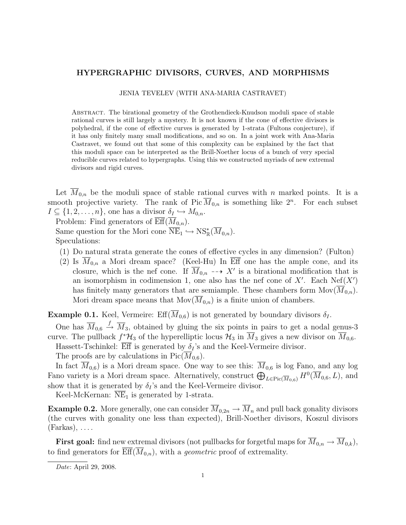## HYPERGRAPHIC DIVISORS, CURVES, AND MORPHISMS

JENIA TEVELEV (WITH ANA-MARIA CASTRAVET)

Abstract. The birational geometry of the Grothendieck-Knudson moduli space of stable rational curves is still largely a mystery. It is not known if the cone of effective divisors is polyhedral, if the cone of effective curves is generated by 1-strata (Fultons conjecture), if it has only finitely many small modifications, and so on. In a joint work with Ana-Maria Castravet, we found out that some of this complexity can be explained by the fact that this moduli space can be interpreted as the Brill-Noether locus of a bunch of very special reducible curves related to hypergraphs. Using this we constructed myriads of new extremal divisors and rigid curves.

Let  $\overline{M}_{0,n}$  be the moduli space of stable rational curves with n marked points. It is a smooth projective variety. The rank of Pic  $\overline{M}_{0,n}$  is something like  $2^n$ . For each subset  $I \subseteq \{1, 2, \ldots, n\}$ , one has a divisor  $\delta_I \hookrightarrow M_{0,n}$ .

Problem: Find generators of  $\overline{\mathrm{Eff}}(\overline{M}_{0,n}).$ 

Same question for the Mori cone  $\overline{\text{NE}}_1 \hookrightarrow \text{NS}_{\mathbb{R}}^*(\overline{M}_{0,n}).$ Speculations:

- (1) Do natural strata generate the cones of effective cycles in any dimension? (Fulton)
- (2) Is  $\overline{M}_{0,n}$  a Mori dream space? (Keel-Hu) In Eff one has the ample cone, and its closure, which is the nef cone. If  $\overline{M}_{0,n}$  --> X' is a birational modification that is an isomorphism in codimension 1, one also has the nef cone of  $X'$ . Each Nef( $X'$ ) has finitely many generators that are semiample. These chambers form  $\text{Mov}(M_{0,n})$ . Mori dream space means that  $\text{Mov}(M_{0,n})$  is a finite union of chambers.

**Example 0.1.** Keel, Vermeire: Eff( $\overline{M}_{0.6}$ ) is not generated by boundary divisors  $\delta_I$ .

One has  $\overline{M}_{0,6} \stackrel{f}{\rightarrow} \overline{M}_3$ , obtained by gluing the six points in pairs to get a nodal genus-3 curve. The pullback  $f^*\mathcal{H}_3$  of the hyperelliptic locus  $\mathcal{H}_3$  in  $\overline{M}_3$  gives a new divisor on  $\overline{M}_{0,6}$ .

Hassett-Tschinkel:  $\overline{\text{Eff}}$  is generated by  $\delta_I$ 's and the Keel-Vermeire divisor.

The proofs are by calculations in  $Pic(M_{0,6})$ .

In fact  $\overline{M}_{0,6}$  is a Mori dream space. One way to see this:  $\overline{M}_{0,6}$  is log Fano, and any log Fano variety is a Mori dream space. Alternatively, construct  $\bigoplus_{L\in\text{Pic}(\overline{M}_{0,6})} H^0(\overline{M}_{0,6}, L)$ , and show that it is generated by  $\delta_I$ 's and the Keel-Vermeire divisor.

Keel-McKernan:  $NE<sub>1</sub>$  is generated by 1-strata.

**Example 0.2.** More generally, one can consider  $\overline{M}_{0,2n} \to \overline{M}_n$  and pull back gonality divisors (the curves with gonality one less than expected), Brill-Noether divisors, Koszul divisors  $(Farkas), \ldots$ .

**First goal:** find new extremal divisors (not pullbacks for forgetful maps for  $\overline{M}_{0,n} \to \overline{M}_{0,k}$ ), to find generators for  $\overline{\text{Eff}}(\overline{M}_{0,n})$ , with a *geometric* proof of extremality.

Date: April 29, 2008.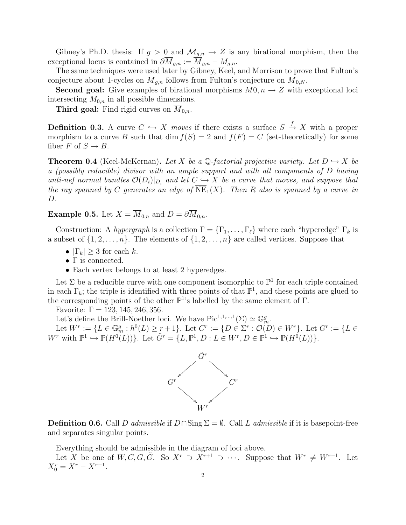Gibney's Ph.D. thesis: If  $g > 0$  and  $\mathcal{M}_{g,n} \to Z$  is any birational morphism, then the exceptional locus is contained in  $\partial \overline{M}_{g,n} := \overline{M}_{g,n} - M_{g,n}$ .

The same techniques were used later by Gibney, Keel, and Morrison to prove that Fulton's conjecture about 1-cycles on  $\overline{M}_{g,n}$  follows from Fulton's conjecture on  $\overline{M}_{0,N}$ .

**Second goal:** Give examples of birational morphisms  $\overline{M}0, n \to Z$  with exceptional loci intersecting  $M_{0,n}$  in all possible dimensions.

**Third goal:** Find rigid curves on  $\overline{M}_{0,n}$ .

**Definition 0.3.** A curve  $C \hookrightarrow X$  moves if there exists a surface  $S \stackrel{f}{\rightarrow} X$  with a proper morphism to a curve B such that dim  $f(S) = 2$  and  $f(F) = C$  (set-theoretically) for some fiber F of  $S \to B$ .

**Theorem 0.4** (Keel-McKernan). Let X be a  $\mathbb{Q}$ -factorial projective variety. Let  $D \hookrightarrow X$  be a (possibly reducible) divisor with an ample support and with all components of D having anti-nef normal bundles  $\mathcal{O}(D_i)|_{D_i}$  and let  $C \hookrightarrow X$  be a curve that moves, and suppose that the ray spanned by C generates an edge of  $\overline{\text{NE}}_1(X)$ . Then R also is spanned by a curve in D.

**Example 0.5.** Let  $X = \overline{M}_{0,n}$  and  $D = \partial \overline{M}_{0,n}$ .

Construction: A hypergraph is a collection  $\Gamma = {\Gamma_1, \ldots, \Gamma_\ell}$  where each "hyperedge"  $\Gamma_k$  is a subset of  $\{1, 2, \ldots, n\}$ . The elements of  $\{1, 2, \ldots, n\}$  are called vertices. Suppose that

- $|\Gamma_k| \geq 3$  for each k.
- $\Gamma$  is connected.
- Each vertex belongs to at least 2 hyperedges.

Let  $\Sigma$  be a reducible curve with one component isomorphic to  $\mathbb{P}^1$  for each triple contained in each  $\Gamma_k$ ; the triple is identified with three points of that  $\mathbb{P}^1$ , and these points are glued to the corresponding points of the other  $\mathbb{P}^1$ 's labelled by the same element of  $\Gamma$ .

Favorite:  $\Gamma = 123, 145, 246, 356$ .

Let's define the Brill-Noether loci. We have  $Pic^{1,1,\ldots,1}(\Sigma) \simeq \mathbb{G}_m^g$ .

Let  $W^r := \{ L \in \mathbb{G}_m^g : h^0(L) \ge r+1 \}$ . Let  $C^r := \{ D \in \Sigma^r : \mathcal{O}(D) \in W^r \}$ . Let  $G^r := \{ L \in \mathbb{G}_m^r : h^0(L) \ge r+1 \}$ .  $W^r$  with  $\mathbb{P}^1 \hookrightarrow \mathbb{P}(H^0(L))$ . Let  $\tilde{G}^r = \{L, \mathbb{P}^1, D : L \in W^r, D \in \mathbb{P}^1 \hookrightarrow \mathbb{P}(H^0(L))\}.$ 



**Definition 0.6.** Call D admissible if  $D \cap \text{Sing } \Sigma = \emptyset$ . Call L admissible if it is basepoint-free and separates singular points.

Everything should be admissible in the diagram of loci above.

Let X be one of  $W, C, G, \tilde{G}$ . So  $X^r \supset X^{r+1} \supset \cdots$ . Suppose that  $W^r \neq W^{r+1}$ . Let  $X_0^r = X^r - X^{r+1}.$